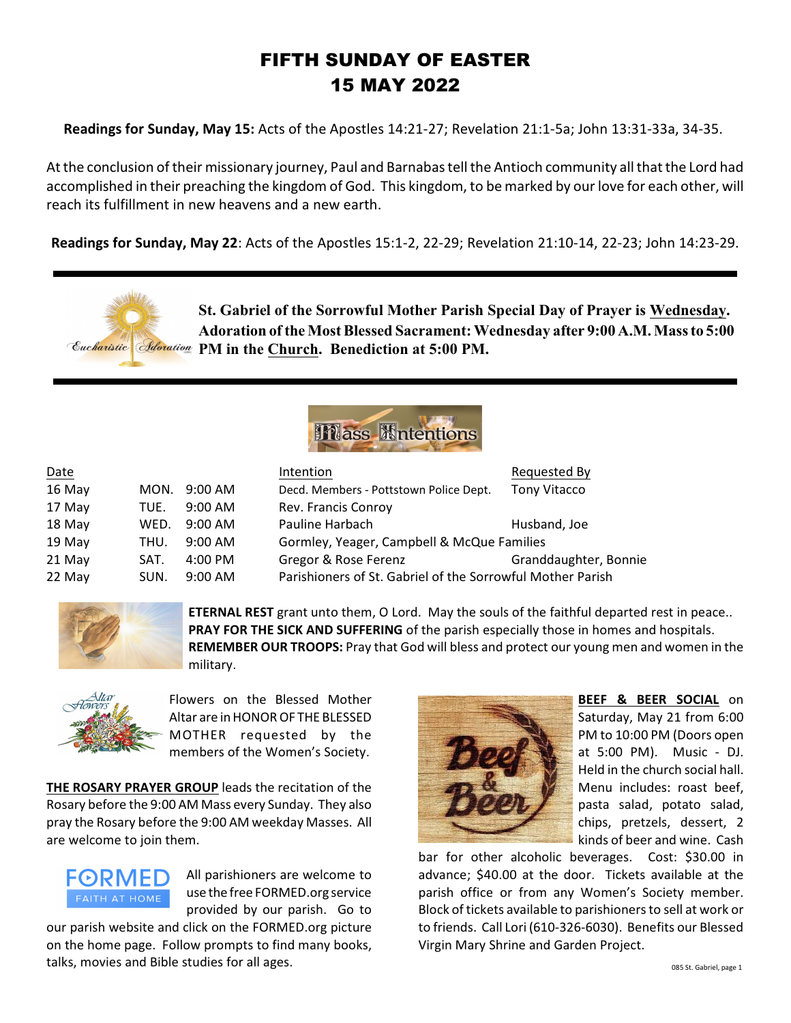# FIFTH SUNDAY OF EASTER 15 MAY 2022

**Readings for Sunday, May 15:** Acts of the Apostles 14:21-27; Revelation 21:1-5a; John 13:31-33a, 34-35.

At the conclusion of their missionary journey, Paul and Barnabas tell the Antioch community all that the Lord had accomplished in their preaching the kingdom of God. This kingdom, to be marked by our love for each other, will reach its fulfillment in new heavens and a new earth.

**Readings for Sunday, May 22**: Acts of the Apostles 15:1-2, 22-29; Revelation 21:10-14, 22-23; John 14:23-29.



**St. Gabriel of the Sorrowful Mother Parish Special Day of Prayer is Wednesday. Adoration of the Most Blessed Sacrament: Wednesday after 9:00 A.M. Mass to 5:00 Eacharistic | Adoration PM in the Church. Benediction at 5:00 PM.** 



| Date   |      |                   | Intention                                                  | Requested By          |
|--------|------|-------------------|------------------------------------------------------------|-----------------------|
| 16 May | MON. | 9:00 AM           | Decd. Members - Pottstown Police Dept.                     | <b>Tony Vitacco</b>   |
| 17 May | TUE. | $9:00 \text{ AM}$ | Rev. Francis Conroy                                        |                       |
| 18 May | WED. | $9:00$ AM         | Pauline Harbach                                            | Husband, Joe          |
| 19 May | THU. | $9:00$ AM         | Gormley, Yeager, Campbell & McQue Families                 |                       |
| 21 May | SAT. | $4:00 \text{ PM}$ | Gregor & Rose Ferenz                                       | Granddaughter, Bonnie |
| 22 May | SUN. | $9:00$ AM         | Parishioners of St. Gabriel of the Sorrowful Mother Parish |                       |



**ETERNAL REST** grant unto them, O Lord. May the souls of the faithful departed rest in peace.. **PRAY FOR THE SICK AND SUFFERING** of the parish especially those in homes and hospitals. **REMEMBER OUR TROOPS:** Pray that God will bless and protect our young men and women in the military.



Flowers on the Blessed Mother Altar are in HONOROF THE BLESSED MOTHER requested by the members of the Women's Society.

**THE ROSARY PRAYER GROUP** leads the recitation of the Rosary before the 9:00 AM Mass every Sunday. They also pray the Rosary before the 9:00 AM weekday Masses. All are welcome to join them.



All parishioners are welcome to use the free FORMED.org service provided by our parish. Go to

our parish website and click on the FORMED.org picture on the home page. Follow prompts to find many books, talks, movies and Bible studies for all ages.



**BEEF & BEER SOCIAL** on Saturday, May 21 from 6:00 PM to 10:00 PM (Doors open at 5:00 PM). Music - DJ. Held in the church social hall. Menu includes: roast beef, pasta salad, potato salad, chips, pretzels, dessert, 2 kinds of beer and wine. Cash

bar for other alcoholic beverages. Cost: \$30.00 in advance; \$40.00 at the door. Tickets available at the parish office or from any Women's Society member. Block of tickets available to parishioners to sell at work or to friends. Call Lori (610-326-6030). Benefits our Blessed Virgin Mary Shrine and Garden Project.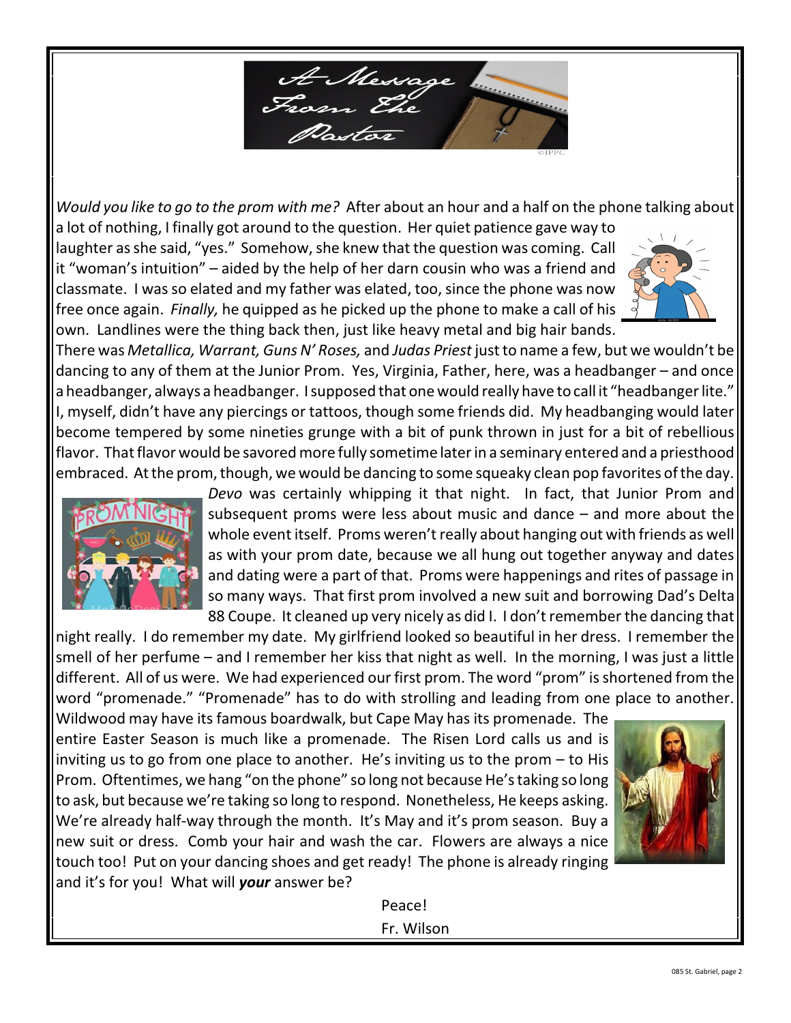

*Would you like to go to the prom with me?* After about an hour and a half on the phone talking about a lot of nothing, I finally got around to the question. Her quiet patience gave way to

laughter as she said, "yes." Somehow, she knew that the question was coming. Call it "woman's intuition" – aided by the help of her darn cousin who was a friend and classmate. I was so elated and my father was elated, too, since the phone was now free once again. *Finally,* he quipped as he picked up the phone to make a call of his own. Landlines were the thing back then, just like heavy metal and big hair bands.



There was *Metallica, Warrant, Guns N' Roses,* and *Judas Priest* just to name a few, but we wouldn't be dancing to any of them at the Junior Prom. Yes, Virginia, Father, here, was a headbanger – and once a headbanger, always a headbanger. I supposed that one would really have to call it "headbanger lite." I, myself, didn't have any piercings or tattoos, though some friends did. My headbanging would later become tempered by some nineties grunge with a bit of punk thrown in just for a bit of rebellious flavor. That flavor would be savored more fully sometime later in a seminary entered and a priesthood embraced. At the prom, though, we would be dancing to some squeaky clean pop favorites of the day.



*Devo* was certainly whipping it that night. In fact, that Junior Prom and subsequent proms were less about music and dance – and more about the whole event itself. Proms weren't really about hanging out with friends as well as with your prom date, because we all hung out together anyway and dates and dating were a part of that. Proms were happenings and rites of passage in so many ways. That first prom involved a new suit and borrowing Dad's Delta 88 Coupe. It cleaned up very nicely as did I. I don't remember the dancing that

night really. I do remember my date. My girlfriend looked so beautiful in her dress. I remember the smell of her perfume – and I remember her kiss that night as well. In the morning, I was just a little different. All of us were. We had experienced our first prom. The word "prom" is shortened from the word "promenade." "Promenade" has to do with strolling and leading from one place to another.

Wildwood may have its famous boardwalk, but Cape May has its promenade. The entire Easter Season is much like a promenade. The Risen Lord calls us and is inviting us to go from one place to another. He's inviting us to the prom – to His Prom. Oftentimes, we hang "on the phone" so long not because He's taking so long to ask, but because we're taking so long to respond. Nonetheless, He keeps asking. We're already half-way through the month. It's May and it's prom season. Buy a new suit or dress. Comb your hair and wash the car. Flowers are always a nice touch too! Put on your dancing shoes and get ready! The phone is already ringing and it's for you! What will *your* answer be?



Peace! Fr. Wilson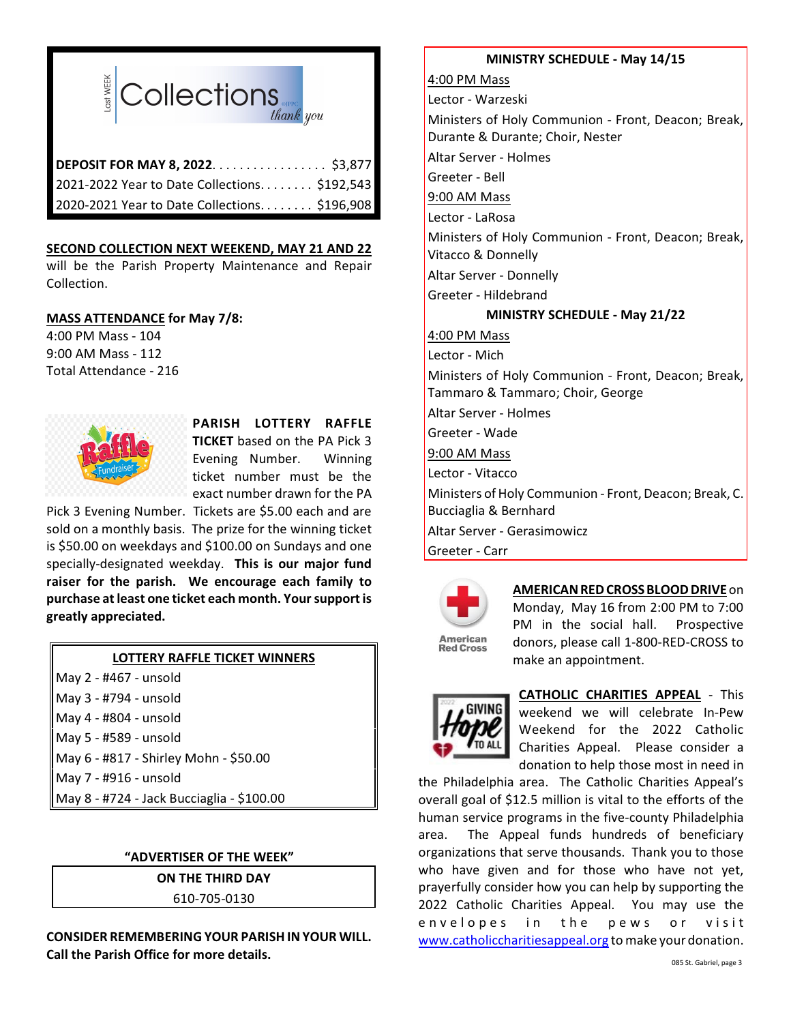

| DEPOSIT FOR MAY 8, 2022. \$3,877              |  |
|-----------------------------------------------|--|
| 2021-2022 Year to Date Collections \$192,543  |  |
| 2020-2021 Year to Date Collections. \$196,908 |  |

### **SECOND COLLECTION NEXT WEEKEND, MAY 21 AND 22**

will be the Parish Property Maintenance and Repair Collection.

### **MASS ATTENDANCE for May 7/8:**

4:00 PM Mass - 104 9:00 AM Mass - 112 Total Attendance - 216



## **PARISH LOTTERY RAFFLE TICKET** based on the PA Pick 3 Evening Number. Winning ticket number must be the exact number drawn for the PA

Pick 3 Evening Number. Tickets are \$5.00 each and are sold on a monthly basis. The prize for the winning ticket is \$50.00 on weekdays and \$100.00 on Sundays and one specially-designated weekday. **This is our major fund raiser for the parish. We encourage each family to purchase at least one ticket each month. Your support is greatly appreciated.**

#### **LOTTERY RAFFLE TICKET WINNERS** May 2 - #467 - unsold

| $NQ = H + U$ - $NQ$                       |
|-------------------------------------------|
| May 3 - #794 - unsold                     |
| May 4 - #804 - unsold                     |
| May 5 - #589 - unsold                     |
| May 6 - #817 - Shirley Mohn - \$50.00     |
| May 7 - #916 - unsold                     |
| May 8 - #724 - Jack Bucciaglia - \$100.00 |

## **"ADVERTISER OF THE WEEK"**

**ON THE THIRD DAY** 610-705-0130

**CONSIDER REMEMBERING YOUR PARISH INYOUR WILL. Call the Parish Office for more details.**

### **MINISTRY SCHEDULE - May 14/15**

4:00 PM Mass Lector - Warzeski Ministers of Holy Communion - Front, Deacon; Break, Durante & Durante; Choir, Nester Altar Server - Holmes Greeter - Bell 9:00 AM Mass Lector - LaRosa Ministers of Holy Communion - Front, Deacon; Break, Vitacco & Donnelly Altar Server - Donnelly Greeter - Hildebrand **MINISTRY SCHEDULE - May 21/22** 4:00 PM Mass Lector - Mich Ministers of Holy Communion - Front, Deacon; Break, Tammaro & Tammaro; Choir, George Altar Server - Holmes Greeter - Wade 9:00 AM Mass Lector - Vitacco Ministers of Holy Communion - Front, Deacon; Break, C. Bucciaglia & Bernhard Altar Server - Gerasimowicz Greeter - Carr



## **AMERICAN RED CROSS BLOOD DRIVE** on

**American Red Cross** 

Monday, May 16 from 2:00 PM to 7:00 PM in the social hall. Prospective donors, please call 1-800-RED-CROSS to make an appointment.



**CATHOLIC CHARITIES APPEAL** - This weekend we will celebrate In-Pew Weekend for the 2022 Catholic Charities Appeal. Please consider a donation to help those most in need in

the Philadelphia area. The Catholic Charities Appeal's overall goal of \$12.5 million is vital to the efforts of the human service programs in the five-county Philadelphia area. The Appeal funds hundreds of beneficiary organizations that serve thousands. Thank you to those who have given and for those who have not yet, prayerfully consider how you can help by supporting the 2022 Catholic Charities Appeal. You may use the envelopes in the pews or visit [www.catholiccharitiesappeal.org](http://www.catholiccharitiesappeal.org) to make your donation.